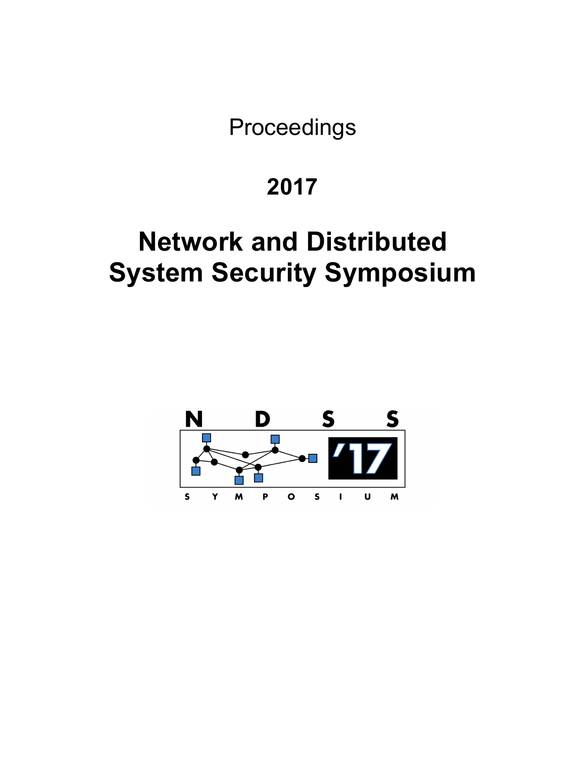Proceedings

# **2017**

# **Network and Distributed System Security Symposium**

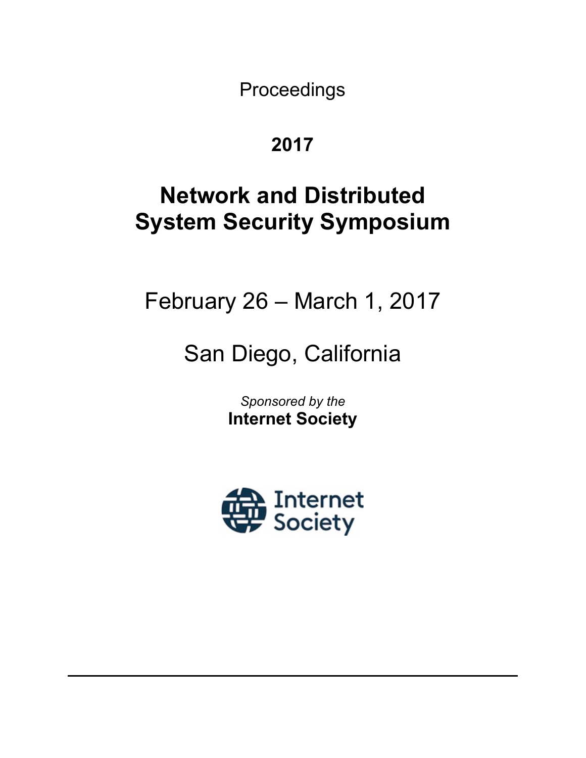Proceedings

# **2017**

# **Network and Distributed System Security Symposium**

February 26 – March 1, 2017

# San Diego, California

*Sponsored by the* **Internet Society**

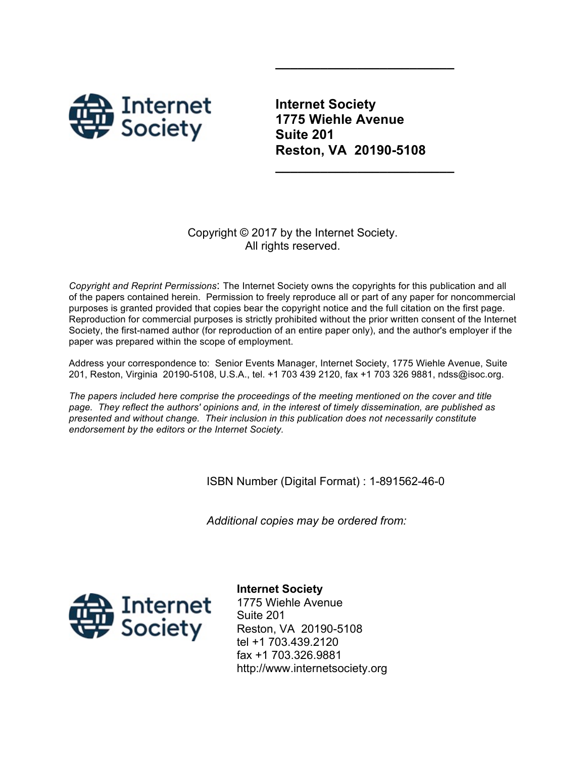

**Internet Society 1775 Wiehle Avenue Suite 201 Reston, VA 20190-5108**

**\_\_\_\_\_\_\_\_\_\_\_\_\_\_\_\_\_\_\_\_\_\_\_\_**

**\_\_\_\_\_\_\_\_\_\_\_\_\_\_\_\_\_\_\_\_\_\_\_\_**

#### Copyright © 2017 by the Internet Society. All rights reserved.

*Copyright and Reprint Permissions*: The Internet Society owns the copyrights for this publication and all of the papers contained herein. Permission to freely reproduce all or part of any paper for noncommercial purposes is granted provided that copies bear the copyright notice and the full citation on the first page. Reproduction for commercial purposes is strictly prohibited without the prior written consent of the Internet Society, the first-named author (for reproduction of an entire paper only), and the author's employer if the paper was prepared within the scope of employment.

Address your correspondence to: Senior Events Manager, Internet Society, 1775 Wiehle Avenue, Suite 201, Reston, Virginia 20190-5108, U.S.A., tel. +1 703 439 2120, fax +1 703 326 9881, ndss@isoc.org.

*The papers included here comprise the proceedings of the meeting mentioned on the cover and title page. They reflect the authors' opinions and, in the interest of timely dissemination, are published as presented and without change. Their inclusion in this publication does not necessarily constitute endorsement by the editors or the Internet Society.*

ISBN Number (Digital Format) : 1-891562-46-0

*Additional copies may be ordered from:*



**Internet Society** 1775 Wiehle Avenue Suite 201 Reston, VA 20190-5108 tel +1 703.439.2120 fax +1 703.326.9881 http://www.internetsociety.org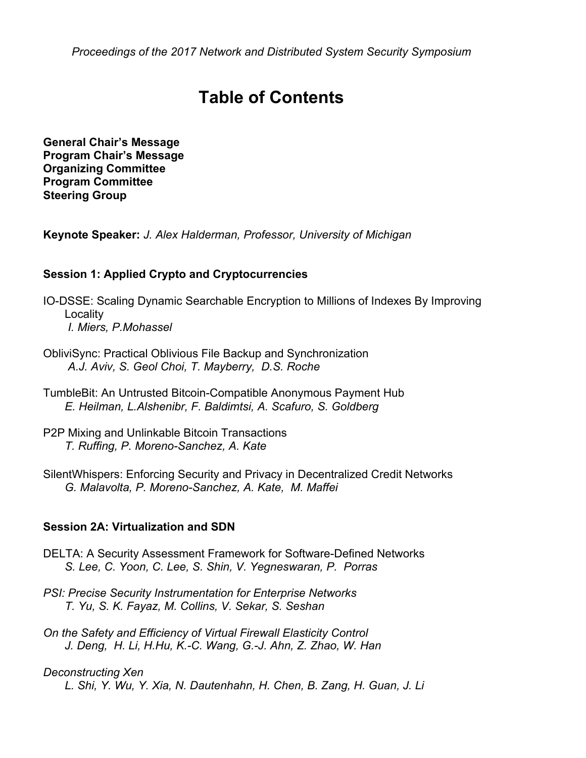*Proceedings of the 2017 Network and Distributed System Security Symposium*

# **Table of Contents**

**General Chair's Message Program Chair's Message Organizing Committee Program Committee Steering Group**

**Keynote Speaker:** *J. Alex Halderman, Professor, University of Michigan*

#### **Session 1: Applied Crypto and Cryptocurrencies**

IO-DSSE: Scaling Dynamic Searchable Encryption to Millions of Indexes By Improving **Locality** *I. Miers, P.Mohassel*

- ObliviSync: Practical Oblivious File Backup and Synchronization *A.J. Aviv, S. Geol Choi, T. Mayberry, D.S. Roche*
- TumbleBit: An Untrusted Bitcoin-Compatible Anonymous Payment Hub *E. Heilman, L.Alshenibr, F. Baldimtsi, A. Scafuro, S. Goldberg*
- P2P Mixing and Unlinkable Bitcoin Transactions *T. Ruffing, P. Moreno-Sanchez, A. Kate*
- SilentWhispers: Enforcing Security and Privacy in Decentralized Credit Networks *G. Malavolta, P. Moreno-Sanchez, A. Kate, M. Maffei*

#### **Session 2A: Virtualization and SDN**

- DELTA: A Security Assessment Framework for Software-Defined Networks *S. Lee, C. Yoon, C. Lee, S. Shin, V. Yegneswaran, P. Porras*
- *PSI: Precise Security Instrumentation for Enterprise Networks T. Yu, S. K. Fayaz, M. Collins, V. Sekar, S. Seshan*
- *On the Safety and Efficiency of Virtual Firewall Elasticity Control J. Deng, H. Li, H.Hu, K.-C. Wang, G.-J. Ahn, Z. Zhao, W. Han*

## *Deconstructing Xen*

*L. Shi, Y. Wu, Y. Xia, N. Dautenhahn, H. Chen, B. Zang, H. Guan, J. Li*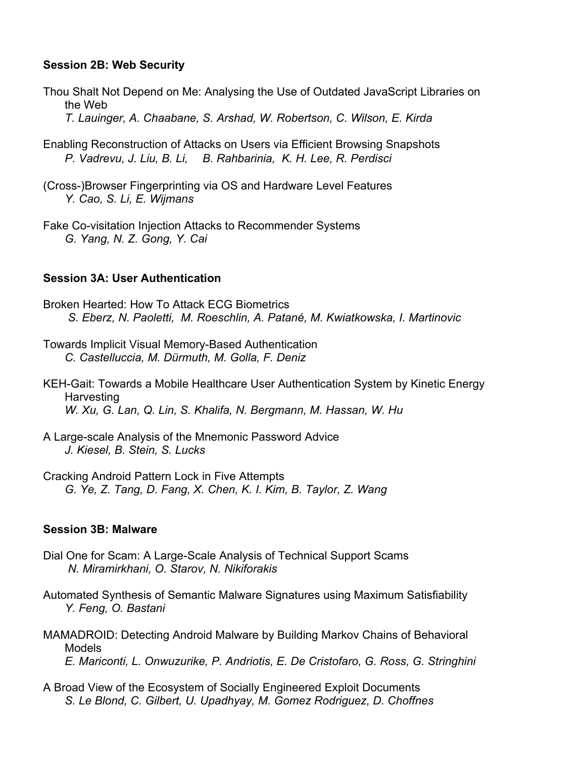#### **Session 2B: Web Security**

- Thou Shalt Not Depend on Me: Analysing the Use of Outdated JavaScript Libraries on the Web *T. Lauinger, A. Chaabane, S. Arshad, W. Robertson, C. Wilson, E. Kirda*
- Enabling Reconstruction of Attacks on Users via Efficient Browsing Snapshots *P. Vadrevu, J. Liu, B. Li, B. Rahbarinia, K. H. Lee, R. Perdisci*
- (Cross-)Browser Fingerprinting via OS and Hardware Level Features *Y. Cao, S. Li, E. Wijmans*
- Fake Co-visitation Injection Attacks to Recommender Systems *G. Yang, N. Z. Gong, Y. Cai*

#### **Session 3A: User Authentication**

- Broken Hearted: How To Attack ECG Biometrics *S. Eberz, N. Paoletti, M. Roeschlin, A. Patané, M. Kwiatkowska, I. Martinovic*
- Towards Implicit Visual Memory-Based Authentication *C. Castelluccia, M. Dürmuth, M. Golla, F. Deniz*
- KEH-Gait: Towards a Mobile Healthcare User Authentication System by Kinetic Energy Harvesting *W. Xu, G. Lan, Q. Lin, S. Khalifa, N. Bergmann, M. Hassan, W. Hu*
- A Large-scale Analysis of the Mnemonic Password Advice *J. Kiesel, B. Stein, S. Lucks*
- Cracking Android Pattern Lock in Five Attempts *G. Ye, Z. Tang, D. Fang, X. Chen, K. I. Kim, B. Taylor, Z. Wang*

#### **Session 3B: Malware**

- Dial One for Scam: A Large-Scale Analysis of Technical Support Scams *N. Miramirkhani, O. Starov, N. Nikiforakis*
- Automated Synthesis of Semantic Malware Signatures using Maximum Satisfiability *Y. Feng, O. Bastani*
- MAMADROID: Detecting Android Malware by Building Markov Chains of Behavioral Models *E. Mariconti, L. Onwuzurike, P. Andriotis, E. De Cristofaro, G. Ross, G. Stringhini*
- A Broad View of the Ecosystem of Socially Engineered Exploit Documents *S. Le Blond, C. Gilbert, U. Upadhyay, M. Gomez Rodriguez, D. Choffnes*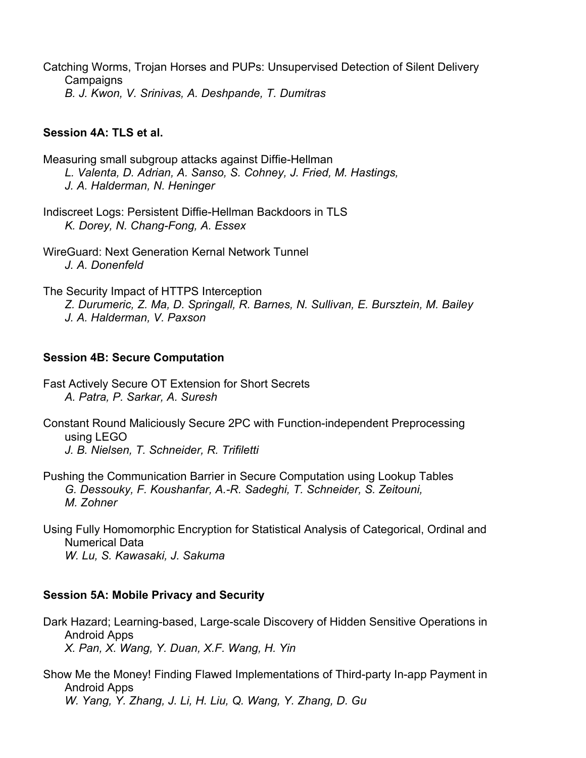Catching Worms, Trojan Horses and PUPs: Unsupervised Detection of Silent Delivery **Campaigns** *B. J. Kwon, V. Srinivas, A. Deshpande, T. Dumitras*

#### **Session 4A: TLS et al.**

- Measuring small subgroup attacks against Diffie-Hellman *L. Valenta, D. Adrian, A. Sanso, S. Cohney, J. Fried, M. Hastings, J. A. Halderman, N. Heninger*
- Indiscreet Logs: Persistent Diffie-Hellman Backdoors in TLS *K. Dorey, N. Chang-Fong, A. Essex*
- WireGuard: Next Generation Kernal Network Tunnel *J. A. Donenfeld*

The Security Impact of HTTPS Interception *Z. Durumeric, Z. Ma, D. Springall, R. Barnes, N. Sullivan, E. Bursztein, M. Bailey J. A. Halderman, V. Paxson*

#### **Session 4B: Secure Computation**

- Fast Actively Secure OT Extension for Short Secrets *A. Patra, P. Sarkar, A. Suresh*
- Constant Round Maliciously Secure 2PC with Function-independent Preprocessing using LEGO *J. B. Nielsen, T. Schneider, R. Trifiletti*
- Pushing the Communication Barrier in Secure Computation using Lookup Tables *G. Dessouky, F. Koushanfar, A.-R. Sadeghi, T. Schneider, S. Zeitouni, M. Zohner*
- Using Fully Homomorphic Encryption for Statistical Analysis of Categorical, Ordinal and Numerical Data *W. Lu, S. Kawasaki, J. Sakuma*

#### **Session 5A: Mobile Privacy and Security**

- Dark Hazard; Learning-based, Large-scale Discovery of Hidden Sensitive Operations in Android Apps *X. Pan, X. Wang, Y. Duan, X.F. Wang, H. Yin*
- Show Me the Money! Finding Flawed Implementations of Third-party In-app Payment in Android Apps *W. Yang, Y. Zhang, J. Li, H. Liu, Q. Wang, Y. Zhang, D. Gu*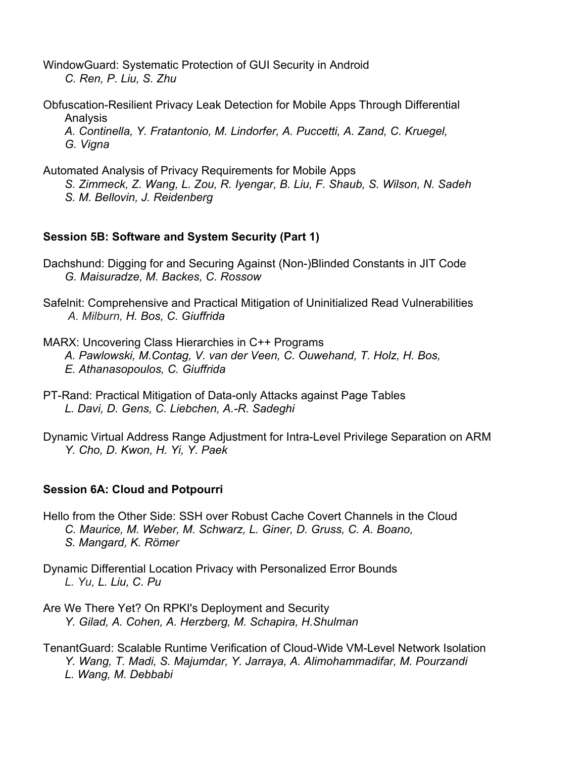WindowGuard: Systematic Protection of GUI Security in Android *C. Ren, P. Liu, S. Zhu*

- Obfuscation-Resilient Privacy Leak Detection for Mobile Apps Through Differential Analysis
	- *A. Continella, Y. Fratantonio, M. Lindorfer, A. Puccetti, A. Zand, C. Kruegel, G. Vigna*

Automated Analysis of Privacy Requirements for Mobile Apps

*S. Zimmeck, Z. Wang, L. Zou, R. Iyengar, B. Liu, F. Shaub, S. Wilson, N. Sadeh S. M. Bellovin, J. Reidenberg*

#### **Session 5B: Software and System Security (Part 1)**

- Dachshund: Digging for and Securing Against (Non-)Blinded Constants in JIT Code *G. Maisuradze, M. Backes, C. Rossow*
- Safelnit: Comprehensive and Practical Mitigation of Uninitialized Read Vulnerabilities *A. Milburn, H. Bos, C. Giuffrida*
- MARX: Uncovering Class Hierarchies in C++ Programs *A. Pawlowski, M.Contag, V. van der Veen, C. Ouwehand, T. Holz, H. Bos, E. Athanasopoulos, C. Giuffrida*
- PT-Rand: Practical Mitigation of Data-only Attacks against Page Tables *L. Davi, D. Gens, C. Liebchen, A.-R. Sadeghi*
- Dynamic Virtual Address Range Adjustment for Intra-Level Privilege Separation on ARM *Y. Cho, D. Kwon, H. Yi, Y. Paek*

#### **Session 6A: Cloud and Potpourri**

- Hello from the Other Side: SSH over Robust Cache Covert Channels in the Cloud *C. Maurice, M. Weber, M. Schwarz, L. Giner, D. Gruss, C. A. Boano, S. Mangard, K. Römer*
- Dynamic Differential Location Privacy with Personalized Error Bounds *L. Yu, L. Liu, C. Pu*
- Are We There Yet? On RPKI's Deployment and Security *Y. Gilad, A. Cohen, A. Herzberg, M. Schapira, H.Shulman*
- TenantGuard: Scalable Runtime Verification of Cloud-Wide VM-Level Network Isolation *Y. Wang, T. Madi, S. Majumdar, Y. Jarraya, A. Alimohammadifar, M. Pourzandi L. Wang, M. Debbabi*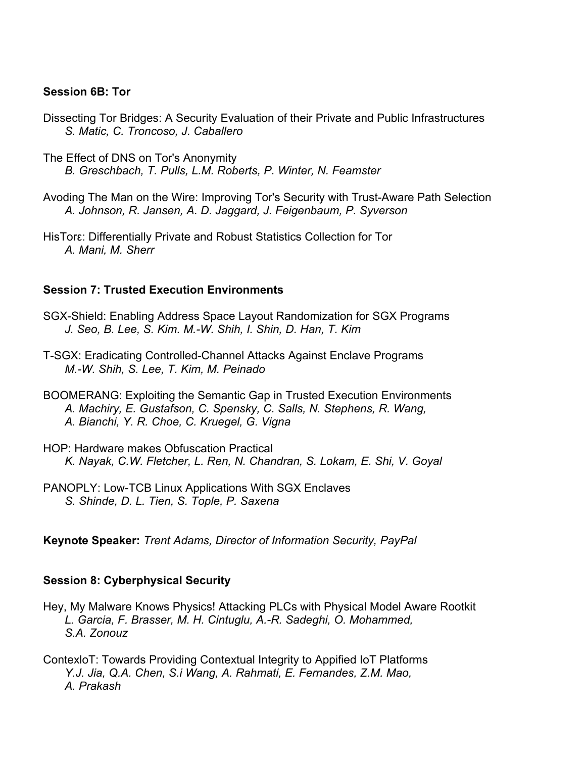#### **Session 6B: Tor**

- Dissecting Tor Bridges: A Security Evaluation of their Private and Public Infrastructures *S. Matic, C. Troncoso, J. Caballero*
- The Effect of DNS on Tor's Anonymity *B. Greschbach, T. Pulls, L.M. Roberts, P. Winter, N. Feamster*
- Avoding The Man on the Wire: Improving Tor's Security with Trust-Aware Path Selection *A. Johnson, R. Jansen, A. D. Jaggard, J. Feigenbaum, P. Syverson*
- HisTorε: Differentially Private and Robust Statistics Collection for Tor *A. Mani, M. Sherr*

#### **Session 7: Trusted Execution Environments**

- SGX-Shield: Enabling Address Space Layout Randomization for SGX Programs *J. Seo, B. Lee, S. Kim. M.-W. Shih, I. Shin, D. Han, T. Kim*
- T-SGX: Eradicating Controlled-Channel Attacks Against Enclave Programs *M.-W. Shih, S. Lee, T. Kim, M. Peinado*
- BOOMERANG: Exploiting the Semantic Gap in Trusted Execution Environments *A. Machiry, E. Gustafson, C. Spensky, C. Salls, N. Stephens, R. Wang, A. Bianchi, Y. R. Choe, C. Kruegel, G. Vigna*
- HOP: Hardware makes Obfuscation Practical *K. Nayak, C.W. Fletcher, L. Ren, N. Chandran, S. Lokam, E. Shi, V. Goyal*
- PANOPLY: Low-TCB Linux Applications With SGX Enclaves *S. Shinde, D. L. Tien, S. Tople, P. Saxena*

**Keynote Speaker:** *Trent Adams, Director of Information Security, PayPal*

#### **Session 8: Cyberphysical Security**

- Hey, My Malware Knows Physics! Attacking PLCs with Physical Model Aware Rootkit *L. Garcia, F. Brasser, M. H. Cintuglu, A.-R. Sadeghi, O. Mohammed, S.A. Zonouz*
- ContexloT: Towards Providing Contextual Integrity to Appified IoT Platforms *Y.J. Jia, Q.A. Chen, S.i Wang, A. Rahmati, E. Fernandes, Z.M. Mao, A. Prakash*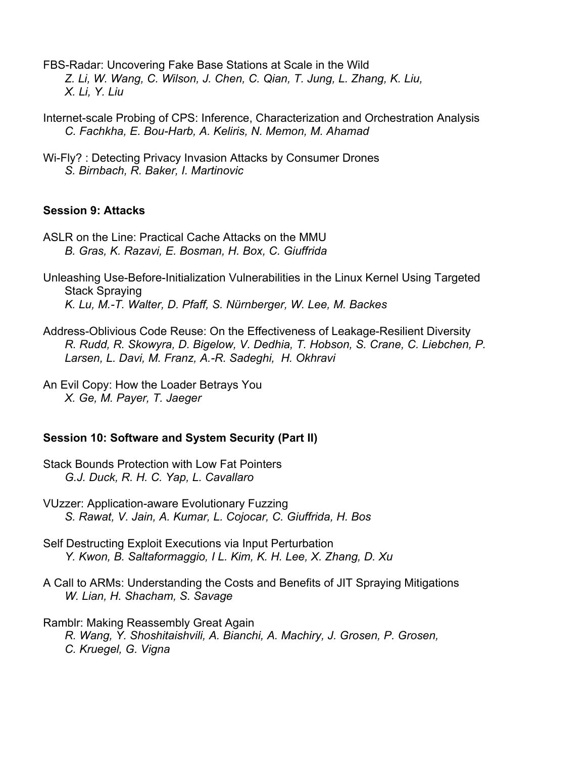FBS-Radar: Uncovering Fake Base Stations at Scale in the Wild *Z. Li, W. Wang, C. Wilson, J. Chen, C. Qian, T. Jung, L. Zhang, K. Liu, X. Li, Y. Liu*

- Internet-scale Probing of CPS: Inference, Characterization and Orchestration Analysis *C. Fachkha, E. Bou-Harb, A. Keliris, N. Memon, M. Ahamad*
- Wi-Fly? : Detecting Privacy Invasion Attacks by Consumer Drones *S. Birnbach, R. Baker, I. Martinovic*

#### **Session 9: Attacks**

- ASLR on the Line: Practical Cache Attacks on the MMU *B. Gras, K. Razavi, E. Bosman, H. Box, C. Giuffrida*
- Unleashing Use-Before-Initialization Vulnerabilities in the Linux Kernel Using Targeted Stack Spraying *K. Lu, M.-T. Walter, D. Pfaff, S. Nürnberger, W. Lee, M. Backes*
- Address-Oblivious Code Reuse: On the Effectiveness of Leakage-Resilient Diversity *R. Rudd, R. Skowyra, D. Bigelow, V. Dedhia, T. Hobson, S. Crane, C. Liebchen, P. Larsen, L. Davi, M. Franz, A.-R. Sadeghi, H. Okhravi*
- An Evil Copy: How the Loader Betrays You *X. Ge, M. Payer, T. Jaeger*

#### **Session 10: Software and System Security (Part II)**

- Stack Bounds Protection with Low Fat Pointers *G.J. Duck, R. H. C. Yap, L. Cavallaro*
- VUzzer: Application-aware Evolutionary Fuzzing *S. Rawat, V. Jain, A. Kumar, L. Cojocar, C. Giuffrida, H. Bos*
- Self Destructing Exploit Executions via Input Perturbation *Y. Kwon, B. Saltaformaggio, I L. Kim, K. H. Lee, X. Zhang, D. Xu*
- A Call to ARMs: Understanding the Costs and Benefits of JIT Spraying Mitigations *W. Lian, H. Shacham, S. Savage*

Ramblr: Making Reassembly Great Again *R. Wang, Y. Shoshitaishvili, A. Bianchi, A. Machiry, J. Grosen, P. Grosen, C. Kruegel, G. Vigna*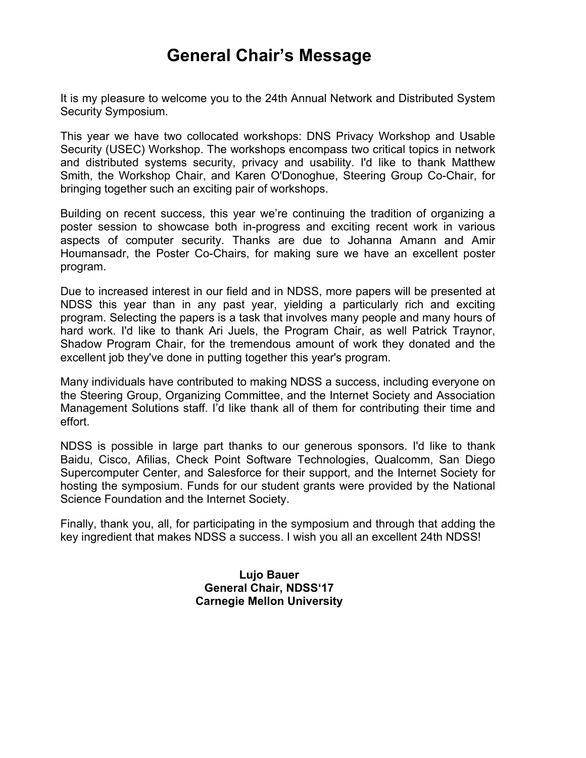# **General Chair's Message**

It is my pleasure to welcome you to the 24th Annual Network and Distributed System Security Symposium.

This year we have two collocated workshops: DNS Privacy Workshop and Usable Security (USEC) Workshop. The workshops encompass two critical topics in network and distributed systems security, privacy and usability. I'd like to thank Matthew Smith, the Workshop Chair, and Karen O'Donoghue, Steering Group Co-Chair, for bringing together such an exciting pair of workshops.

Building on recent success, this year we're continuing the tradition of organizing a poster session to showcase both in-progress and exciting recent work in various aspects of computer security. Thanks are due to Johanna Amann and Amir Houmansadr, the Poster Co-Chairs, for making sure we have an excellent poster program.

Due to increased interest in our field and in NDSS, more papers will be presented at NDSS this year than in any past year, yielding a particularly rich and exciting program. Selecting the papers is a task that involves many people and many hours of hard work. I'd like to thank Ari Juels, the Program Chair, as well Patrick Traynor, Shadow Program Chair, for the tremendous amount of work they donated and the excellent job they've done in putting together this year's program.

Many individuals have contributed to making NDSS a success, including everyone on the Steering Group, Organizing Committee, and the Internet Society and Association Management Solutions staff. I'd like thank all of them for contributing their time and effort.

NDSS is possible in large part thanks to our generous sponsors. I'd like to thank Baidu, Cisco, Afilias, Check Point Software Technologies, Qualcomm, San Diego Supercomputer Center, and Salesforce for their support, and the Internet Society for hosting the symposium. Funds for our student grants were provided by the National Science Foundation and the Internet Society.

Finally, thank you, all, for participating in the symposium and through that adding the key ingredient that makes NDSS a success. I wish you all an excellent 24th NDSS!

> **Lujo Bauer General Chair, NDSS'17 Carnegie Mellon University**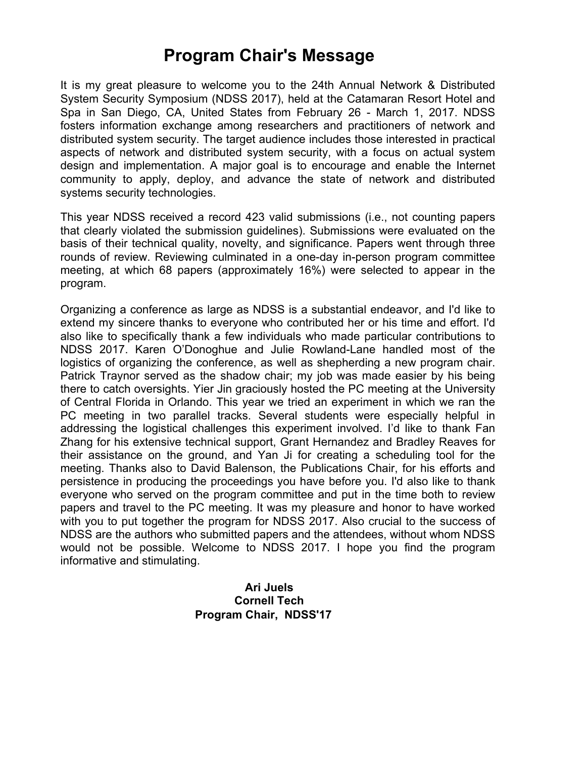# **Program Chair's Message**

It is my great pleasure to welcome you to the 24th Annual Network & Distributed System Security Symposium (NDSS 2017), held at the Catamaran Resort Hotel and Spa in San Diego, CA, United States from February 26 - March 1, 2017. NDSS fosters information exchange among researchers and practitioners of network and distributed system security. The target audience includes those interested in practical aspects of network and distributed system security, with a focus on actual system design and implementation. A major goal is to encourage and enable the Internet community to apply, deploy, and advance the state of network and distributed systems security technologies.

This year NDSS received a record 423 valid submissions (i.e., not counting papers that clearly violated the submission guidelines). Submissions were evaluated on the basis of their technical quality, novelty, and significance. Papers went through three rounds of review. Reviewing culminated in a one-day in-person program committee meeting, at which 68 papers (approximately 16%) were selected to appear in the program.

Organizing a conference as large as NDSS is a substantial endeavor, and I'd like to extend my sincere thanks to everyone who contributed her or his time and effort. I'd also like to specifically thank a few individuals who made particular contributions to NDSS 2017. Karen O'Donoghue and Julie Rowland-Lane handled most of the logistics of organizing the conference, as well as shepherding a new program chair. Patrick Traynor served as the shadow chair; my job was made easier by his being there to catch oversights. Yier Jin graciously hosted the PC meeting at the University of Central Florida in Orlando. This year we tried an experiment in which we ran the PC meeting in two parallel tracks. Several students were especially helpful in addressing the logistical challenges this experiment involved. I'd like to thank Fan Zhang for his extensive technical support, Grant Hernandez and Bradley Reaves for their assistance on the ground, and Yan Ji for creating a scheduling tool for the meeting. Thanks also to David Balenson, the Publications Chair, for his efforts and persistence in producing the proceedings you have before you. I'd also like to thank everyone who served on the program committee and put in the time both to review papers and travel to the PC meeting. It was my pleasure and honor to have worked with you to put together the program for NDSS 2017. Also crucial to the success of NDSS are the authors who submitted papers and the attendees, without whom NDSS would not be possible. Welcome to NDSS 2017. I hope you find the program informative and stimulating.

#### **Ari Juels Cornell Tech Program Chair, NDSS'17**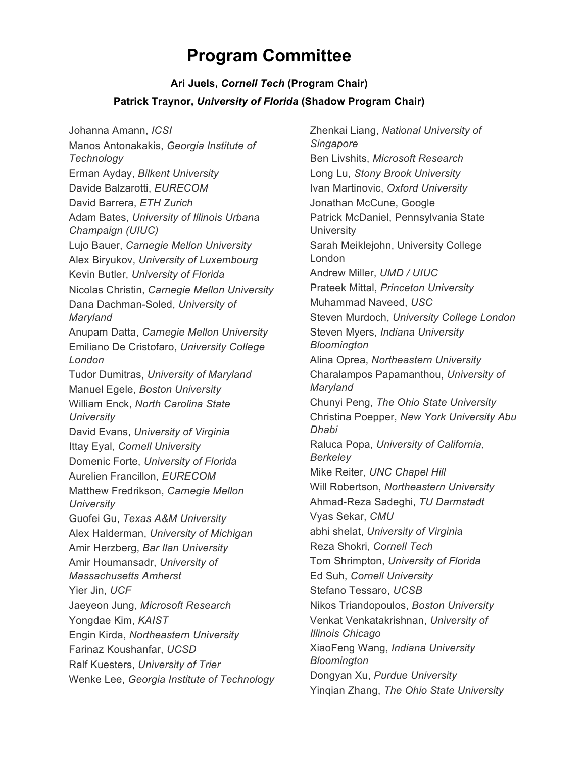# **Program Committee**

## **Ari Juels,** *Cornell Tech* **(Program Chair) Patrick Traynor,** *University of Florida* **(Shadow Program Chair)**

Johanna Amann, *ICSI* Manos Antonakakis, *Georgia Institute of Technology* Erman Ayday, *Bilkent University* Davide Balzarotti, *EURECOM* David Barrera, *ETH Zurich* Adam Bates, *University of Illinois Urbana Champaign (UIUC)* Lujo Bauer, *Carnegie Mellon University* Alex Biryukov, *University of Luxembourg* Kevin Butler, *University of Florida* Nicolas Christin, *Carnegie Mellon University* Dana Dachman-Soled, *University of Maryland* Anupam Datta, *Carnegie Mellon University* Emiliano De Cristofaro, *University College London* Tudor Dumitras, *University of Maryland* Manuel Egele, *Boston University* William Enck, *North Carolina State University* David Evans, *University of Virginia* Ittay Eyal, *Cornell University* Domenic Forte, *University of Florida* Aurelien Francillon, *EURECOM* Matthew Fredrikson, *Carnegie Mellon University* Guofei Gu, *Texas A&M University* Alex Halderman, *University of Michigan* Amir Herzberg, *Bar Ilan University* Amir Houmansadr, *University of Massachusetts Amherst* Yier Jin, *UCF* Jaeyeon Jung, *Microsoft Research* Yongdae Kim, *KAIST* Engin Kirda, *Northeastern University* Farinaz Koushanfar, *UCSD* Ralf Kuesters, *University of Trier* Wenke Lee, *Georgia Institute of Technology* Zhenkai Liang, *National University of Singapore* Ben Livshits, *Microsoft Research* Long Lu, *Stony Brook University* Ivan Martinovic, *Oxford University* Jonathan McCune, Google Patrick McDaniel, Pennsylvania State **University** Sarah Meiklejohn, University College London Andrew Miller, *UMD / UIUC* Prateek Mittal, *Princeton University* Muhammad Naveed, *USC* Steven Murdoch, *University College London* Steven Myers, *Indiana University Bloomington* Alina Oprea, *Northeastern University* Charalampos Papamanthou, *University of Maryland* Chunyi Peng, *The Ohio State University* Christina Poepper, *New York University Abu Dhabi* Raluca Popa, *University of California, Berkeley* Mike Reiter, *UNC Chapel Hill* Will Robertson, *Northeastern University* Ahmad-Reza Sadeghi, *TU Darmstadt* Vyas Sekar, *CMU* abhi shelat, *University of Virginia* Reza Shokri, *Cornell Tech* Tom Shrimpton, *University of Florida* Ed Suh, *Cornell University* Stefano Tessaro, *UCSB* Nikos Triandopoulos, *Boston University* Venkat Venkatakrishnan, *University of Illinois Chicago* XiaoFeng Wang, *Indiana University Bloomington* Dongyan Xu, *Purdue University* Yinqian Zhang, *The Ohio State University*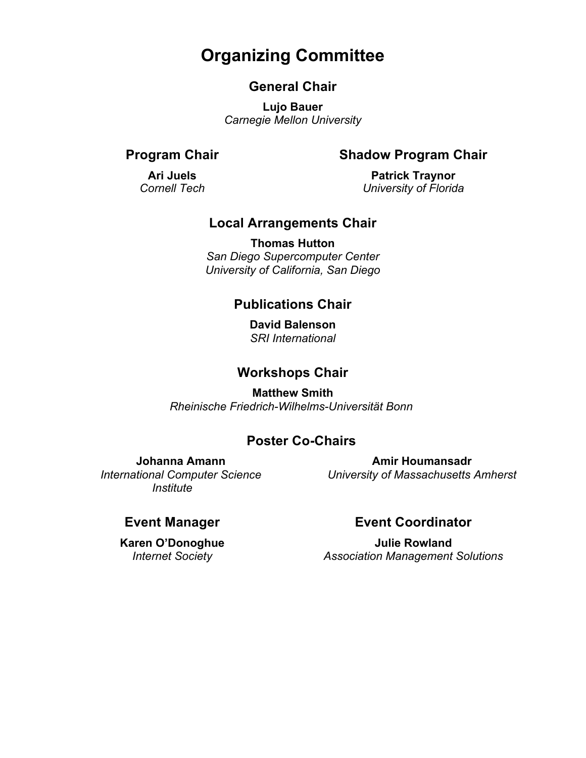# **Organizing Committee**

## **General Chair**

**Lujo Bauer** *Carnegie Mellon University* 

### **Program Chair**

#### **Shadow Program Chair**

**Ari Juels** *Cornell Tech*

**Patrick Traynor** *University of Florida*

## **Local Arrangements Chair**

**Thomas Hutton** *San Diego Supercomputer Center University of California, San Diego*

## **Publications Chair**

**David Balenson** *SRI International*

## **Workshops Chair**

**Matthew Smith** *Rheinische Friedrich-Wilhelms-Universität Bonn*

## **Poster Co-Chairs**

**Johanna Amann** *International Computer Science Institute*

**Amir Houmansadr** *University of Massachusetts Amherst*

### **Event Manager**

**Karen O'Donoghue** *Internet Society*

## **Event Coordinator**

**Julie Rowland** *Association Management Solutions*